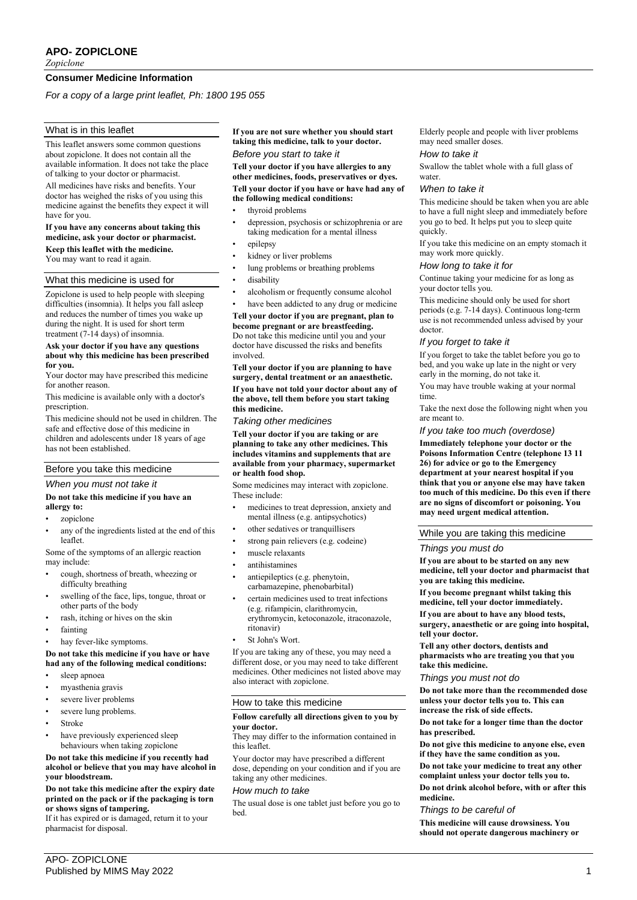# **APO- ZOPICLONE**

*Zopiclone*

# **Consumer Medicine Information**

*For a copy of a large print leaflet, Ph: 1800 195 055*

# What is in this leaflet

This leaflet answers some common questions about zopiclone. It does not contain all the available information. It does not take the place of talking to your doctor or pharmacist.

All medicines have risks and benefits. Your doctor has weighed the risks of you using this medicine against the benefits they expect it will have for you.

### **If you have any concerns about taking this medicine, ask your doctor or pharmacist.**

**Keep this leaflet with the medicine.**

You may want to read it again.

# What this medicine is used for

Zopiclone is used to help people with sleeping difficulties (insomnia). It helps you fall asleep and reduces the number of times you wake up during the night. It is used for short term treatment  $(7-14 \text{ days})$  of insomnia.

#### **Ask your doctor if you have any questions about why this medicine has been prescribed for you.**

Your doctor may have prescribed this medicine for another reason.

This medicine is available only with a doctor's prescription.

This medicine should not be used in children. The safe and effective dose of this medicine in children and adolescents under 18 years of age has not been established.

# Before you take this medicine

# *When you must not take it*

## **Do not take this medicine if you have an allergy to:**

- zopiclone
- any of the ingredients listed at the end of this leaflet.

Some of the symptoms of an allergic reaction may include:

- cough, shortness of breath, wheezing or difficulty breathing
- swelling of the face, lips, tongue, throat or other parts of the body
- rash, itching or hives on the skin
- fainting
- hay fever-like symptoms.

## **Do not take this medicine if you have or have had any of the following medical conditions:**

- sleep apnoea
- myasthenia gravis
- severe liver problems
- severe lung problems.
- Stroke
- have previously experienced sleep behaviours when taking zopiclone

**Do not take this medicine if you recently had alcohol or believe that you may have alcohol in your bloodstream.**

#### **Do not take this medicine after the expiry date printed on the pack or if the packaging is torn or shows signs of tampering.**

If it has expired or is damaged, return it to your pharmacist for disposal.

**If you are not sure whether you should start taking this medicine, talk to your doctor.**

# *Before you start to take it*

**Tell your doctor if you have allergies to any other medicines, foods, preservatives or dyes. Tell your doctor if you have or have had any of** 

# **the following medical conditions:**

- thyroid problems
- depression, psychosis or schizophrenia or are taking medication for a mental illness
- epilepsy
- kidney or liver problems
- lung problems or breathing problems
- disability
- alcoholism or frequently consume alcohol
- have been addicted to any drug or medicine

**Tell your doctor if you are pregnant, plan to become pregnant or are breastfeeding.** Do not take this medicine until you and your doctor have discussed the risks and benefits involved.

**Tell your doctor if you are planning to have surgery, dental treatment or an anaesthetic. If you have not told your doctor about any of the above, tell them before you start taking this medicine.**

*Taking other medicines*

**Tell your doctor if you are taking or are planning to take any other medicines. This includes vitamins and supplements that are available from your pharmacy, supermarket or health food shop.**

Some medicines may interact with zopiclone. These include:

- medicines to treat depression, anxiety and mental illness (e.g. antipsychotics)
- other sedatives or tranquillisers
- strong pain relievers (e.g. codeine)
- muscle relaxants
- antihistamines
- antiepileptics (e.g. phenytoin, carbamazepine, phenobarbital)
- certain medicines used to treat infections (e.g. rifampicin, clarithromycin, erythromycin, ketoconazole, itraconazole, ritonavir)
- St John's Wort.

If you are taking any of these, you may need a different dose, or you may need to take different medicines. Other medicines not listed above may also interact with zopiclone.

## How to take this medicine

#### **Follow carefully all directions given to you by your doctor.**

They may differ to the information contained in this leaflet.

Your doctor may have prescribed a different dose, depending on your condition and if you are taking any other medicines.

## *How much to take*

The usual dose is one tablet just before you go to bed.

Elderly people and people with liver problems may need smaller doses.

### *How to take it*

Swallow the tablet whole with a full glass of water.

#### *When to take it*

This medicine should be taken when you are able to have a full night sleep and immediately before you go to bed. It helps put you to sleep quite quickly.

If you take this medicine on an empty stomach it may work more quickly.

## *How long to take it for*

Continue taking your medicine for as long as your doctor tells you.

This medicine should only be used for short periods (e.g. 7-14 days). Continuous long-term use is not recommended unless advised by your doctor.

#### *If you forget to take it*

If you forget to take the tablet before you go to bed, and you wake up late in the night or very early in the morning, do not take it.

You may have trouble waking at your normal time.

Take the next dose the following night when you are meant to.

*If you take too much (overdose)*

**Immediately telephone your doctor or the Poisons Information Centre (telephone 13 11 26) for advice or go to the Emergency department at your nearest hospital if you think that you or anyone else may have taken too much of this medicine. Do this even if there are no signs of discomfort or poisoning. You may need urgent medical attention.**

While you are taking this medicine

## *Things you must do*

**If you are about to be started on any new medicine, tell your doctor and pharmacist that you are taking this medicine.**

**If you become pregnant whilst taking this medicine, tell your doctor immediately.**

**If you are about to have any blood tests, surgery, anaesthetic or are going into hospital, tell your doctor.**

**Tell any other doctors, dentists and pharmacists who are treating you that you take this medicine.**

*Things you must not do*

**Do not take more than the recommended dose unless your doctor tells you to. This can increase the risk of side effects.**

**Do not take for a longer time than the doctor has prescribed.**

**Do not give this medicine to anyone else, even if they have the same condition as you.**

**Do not take your medicine to treat any other complaint unless your doctor tells you to. Do not drink alcohol before, with or after this medicine.**

#### *Things to be careful of*

**This medicine will cause drowsiness. You should not operate dangerous machinery or**